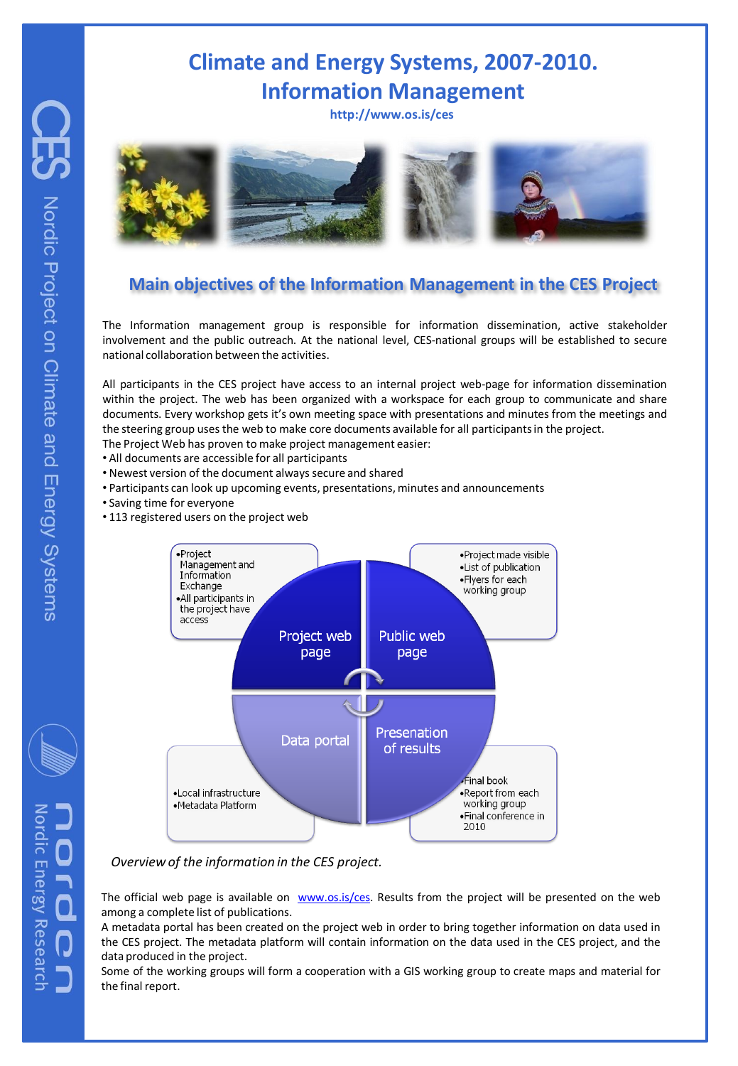# **Climate and Energy Systems, 2007-2010. Information Management**

**http://www.os.is/ces**



### **Main objectives of the Information Management in the CES Project**

The Information management group is responsible for information dissemination, active stakeholder involvement and the public outreach. At the national level, CES-national groups will be established to secure national collaboration between the activities.

All participants in the CES project have access to an internal project web-page for information dissemination within the project. The web has been organized with a workspace for each group to communicate and share documents. Every workshop gets it's own meeting space with presentations and minutes from the meetings and the steering group uses the web to make core documents available for all participants in the project.

- The Project Web has proven to make project management easier:
- All documents are accessible for all participants
- Newest version of the document always secure and shared
- Participants can look up upcoming events, presentations, minutes and announcements
- Saving time for everyone
- 113 registered users on the project web



#### *Overview of the information in the CES project.*

The official web page is available on [www.os.is/ces](http://www.os.is/ces). Results from the project will be presented on the web among a complete list of publications.

A metadata portal has been created on the project web in order to bring together information on data used in the CES project. The metadata platform will contain information on the data used in the CES project, and the data produced in the project.

Some of the working groups will form a cooperation with a GIS working group to create maps and material for the final report.